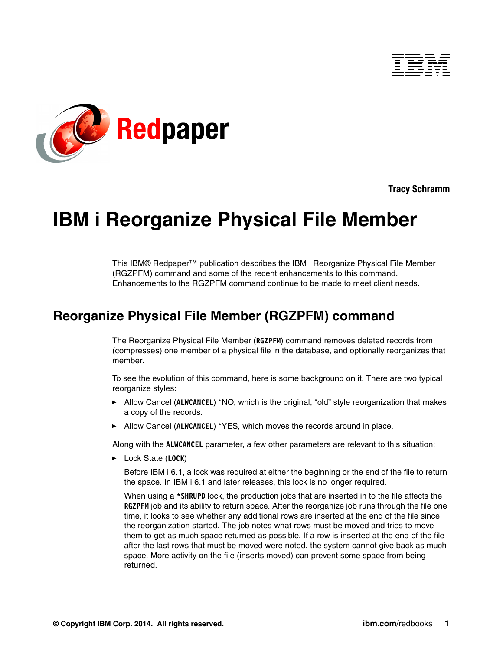



**Tracy Schramm**

# **IBM i Reorganize Physical File Member**

This IBM® Redpaper™ publication describes the IBM i Reorganize Physical File Member (RGZPFM) command and some of the recent enhancements to this command. Enhancements to the RGZPFM command continue to be made to meet client needs.

# **Reorganize Physical File Member (RGZPFM) command**

The Reorganize Physical File Member (**RGZPFM**) command removes deleted records from (compresses) one member of a physical file in the database, and optionally reorganizes that member.

To see the evolution of this command, here is some background on it. There are two typical reorganize styles:

- ► Allow Cancel (ALWCANCEL) \*NO, which is the original, "old" style reorganization that makes a copy of the records.
- ► Allow Cancel (ALWCANCEL) \*YES, which moves the records around in place.

Along with the **ALWCANCEL** parameter, a few other parameters are relevant to this situation:

- Lock State (**LOCK**)

Before IBM i 6.1, a lock was required at either the beginning or the end of the file to return the space. In IBM i 6.1 and later releases, this lock is no longer required.

When using a **\*SHRUPD** lock, the production jobs that are inserted in to the file affects the **RGZPFM** job and its ability to return space. After the reorganize job runs through the file one time, it looks to see whether any additional rows are inserted at the end of the file since the reorganization started. The job notes what rows must be moved and tries to move them to get as much space returned as possible. If a row is inserted at the end of the file after the last rows that must be moved were noted, the system cannot give back as much space. More activity on the file (inserts moved) can prevent some space from being returned.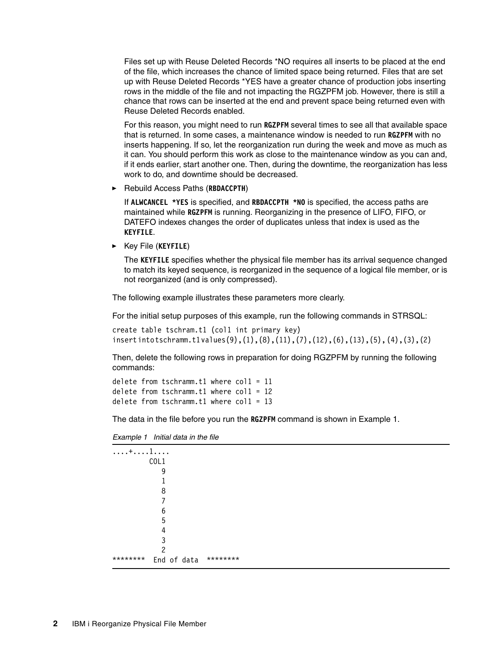Files set up with Reuse Deleted Records \*NO requires all inserts to be placed at the end of the file, which increases the chance of limited space being returned. Files that are set up with Reuse Deleted Records \*YES have a greater chance of production jobs inserting rows in the middle of the file and not impacting the RGZPFM job. However, there is still a chance that rows can be inserted at the end and prevent space being returned even with Reuse Deleted Records enabled.

For this reason, you might need to run **RGZPFM** several times to see all that available space that is returned. In some cases, a maintenance window is needed to run **RGZPFM** with no inserts happening. If so, let the reorganization run during the week and move as much as it can. You should perform this work as close to the maintenance window as you can and, if it ends earlier, start another one. Then, during the downtime, the reorganization has less work to do, and downtime should be decreased.

- Rebuild Access Paths (**RBDACCPTH**)

If **ALWCANCEL \*YES** is specified, and **RBDACCPTH \*NO** is specified, the access paths are maintained while **RGZPFM** is running. Reorganizing in the presence of LIFO, FIFO, or DATEFO indexes changes the order of duplicates unless that index is used as the **KEYFILE**.

- Key File (**KEYFILE**)

The **KEYFILE** specifies whether the physical file member has its arrival sequence changed to match its keyed sequence, is reorganized in the sequence of a logical file member, or is not reorganized (and is only compressed).

The following example illustrates these parameters more clearly.

For the initial setup purposes of this example, run the following commands in STRSQL:

```
create table tschram.t1 (col1 int primary key)
insert into tschramm.t1 values(9),(1),(8),(11),(7),(12),(6),(13),(5), (4),(3),(2)
```
Then, delete the following rows in preparation for doing RGZPFM by running the following commands:

```
delete from tschramm.t1 where \text{coll} = 11delete from tschramm.t1 where col1 = 12
delete from tschramm.t1 where \text{coll} = 13
```
The data in the file before you run the **RGZPFM** command is shown in [Example 1.](#page-1-0)

<span id="page-1-0"></span>*Example 1 Initial data in the file*

| $\dots + \dots 1 \dots$ |          |
|-------------------------|----------|
| COL1                    |          |
| 9                       |          |
|                         |          |
| 8                       |          |
|                         |          |
| 6                       |          |
| 5                       |          |
| 4                       |          |
| ົ                       |          |
| っ                       |          |
| ********<br>End of data | ******** |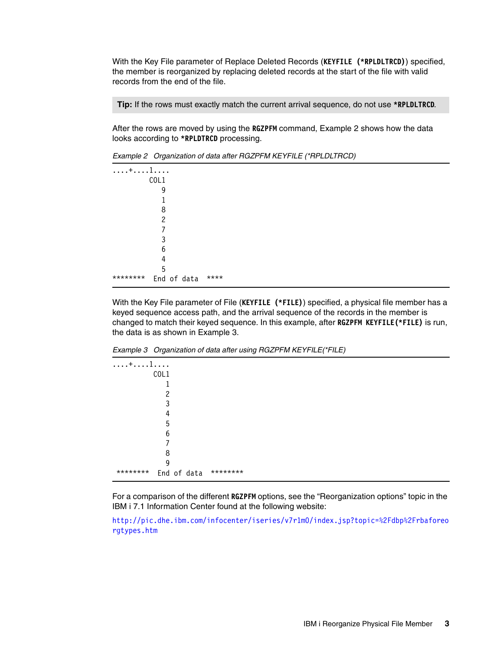With the Key File parameter of Replace Deleted Records (**KEYFILE (\*RPLDLTRCD)**) specified, the member is reorganized by replacing deleted records at the start of the file with valid records from the end of the file.

**Tip:** If the rows must exactly match the current arrival sequence, do not use **\*RPLDLTRCD**.

After the rows are moved by using the **RGZPFM** command, [Example 2](#page-2-0) shows how the data looks according to **\*RPLDTRCD** processing.

| . + 1    |             |      |  |  |  |
|----------|-------------|------|--|--|--|
|          | COL1        |      |  |  |  |
|          | 9           |      |  |  |  |
|          | 1           |      |  |  |  |
|          | 8           |      |  |  |  |
|          | 2           |      |  |  |  |
|          | 7           |      |  |  |  |
|          | 3           |      |  |  |  |
|          | 6           |      |  |  |  |
|          | 4           |      |  |  |  |
|          | 5           |      |  |  |  |
| ******** | End of data | **** |  |  |  |

<span id="page-2-0"></span>*Example 2 Organization of data after RGZPFM KEYFILE (\*RPLDLTRCD)*

With the Key File parameter of File (**KEYFILE (\*FILE)**) specified, a physical file member has a keyed sequence access path, and the arrival sequence of the records in the member is changed to match their keyed sequence. In this example, after **RGZPFM KEYFILE(\*FILE)** is run, the data is as shown in [Example 3](#page-2-1).

<span id="page-2-1"></span>*Example 3 Organization of data after using RGZPFM KEYFILE(\*FILE)*

| End of data | ******** |  |  |  |
|-------------|----------|--|--|--|

For a comparison of the different **RGZPFM** options, see the "Reorganization options" topic in the IBM i 7.1 Information Center found at the following website:

[http://pic.dhe.ibm.com/infocenter/iseries/v7r1m0/index.jsp?topic=%2Fdbp%2Frbaforeo](http://pic.dhe.ibm.com/infocenter/iseries/v7r1m0/index.jsp?topic=%2Fdbp%2Frbaforeorgtypes.htm) [rgtypes.htm](http://pic.dhe.ibm.com/infocenter/iseries/v7r1m0/index.jsp?topic=%2Fdbp%2Frbaforeorgtypes.htm)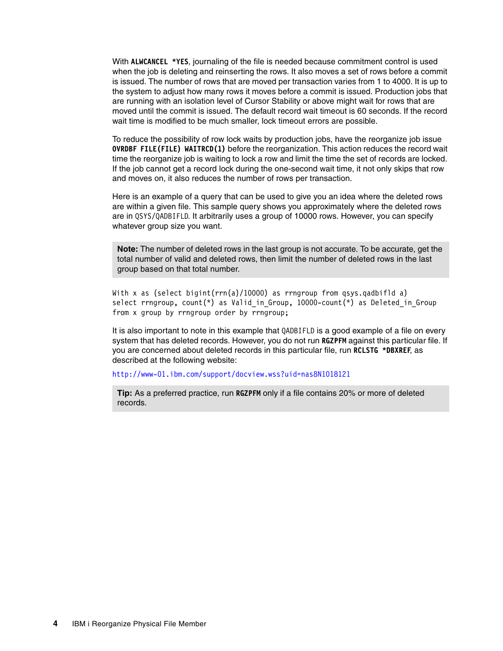With **ALWCANCEL \*YES**, journaling of the file is needed because commitment control is used when the job is deleting and reinserting the rows. It also moves a set of rows before a commit is issued. The number of rows that are moved per transaction varies from 1 to 4000. It is up to the system to adjust how many rows it moves before a commit is issued. Production jobs that are running with an isolation level of Cursor Stability or above might wait for rows that are moved until the commit is issued. The default record wait timeout is 60 seconds. If the record wait time is modified to be much smaller, lock timeout errors are possible.

To reduce the possibility of row lock waits by production jobs, have the reorganize job issue **OVRDBF FILE(FILE) WAITRCD(1)** before the reorganization. This action reduces the record wait time the reorganize job is waiting to lock a row and limit the time the set of records are locked. If the job cannot get a record lock during the one-second wait time, it not only skips that row and moves on, it also reduces the number of rows per transaction.

Here is an example of a query that can be used to give you an idea where the deleted rows are within a given file. This sample query shows you approximately where the deleted rows are in QSYS/QADBIFLD. It arbitrarily uses a group of 10000 rows. However, you can specify whatever group size you want.

**Note:** The number of deleted rows in the last group is not accurate. To be accurate, get the total number of valid and deleted rows, then limit the number of deleted rows in the last group based on that total number.

With x as (select bigint(rrn(a)/10000) as rrngroup from qsys.qadbifld a) select rrngroup, count(\*) as Valid\_in\_Group, 10000-count(\*) as Deleted\_in\_Group from x group by rrngroup order by rrngroup;

It is also important to note in this example that QADBIFLD is a good example of a file on every system that has deleted records. However, you do not run **RGZPFM** against this particular file. If you are concerned about deleted records in this particular file, run **RCLSTG \*DBXREF**, as described at the following website:

<http://www-01.ibm.com/support/docview.wss?uid=nas8N1018121>

**Tip:** As a preferred practice, run **RGZPFM** only if a file contains 20% or more of deleted records.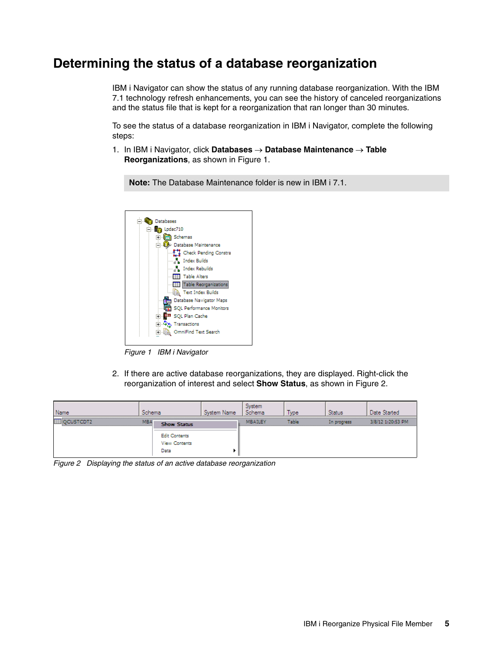# **Determining the status of a database reorganization**

IBM i Navigator can show the status of any running database reorganization. With the IBM 7.1 technology refresh enhancements, you can see the history of canceled reorganizations and the status file that is kept for a reorganization that ran longer than 30 minutes.

To see the status of a database reorganization in IBM i Navigator, complete the following steps:

1. In IBM i Navigator, click **Databases Database Maintenance Table Reorganizations**, as shown in [Figure 1](#page-4-0).

**Note:** The Database Maintenance folder is new in IBM i 7.1.



<span id="page-4-0"></span>*Figure 1 IBM i Navigator*

2. If there are active database reorganizations, they are displayed. Right-click the reorganization of interest and select **Show Status**, as shown in [Figure 2.](#page-4-1)

| Vame | Schema |                                               | nema    | vpe |             | tea               |
|------|--------|-----------------------------------------------|---------|-----|-------------|-------------------|
|      | MBA    | Show Status                                   | MBAILEY |     | in progress | 3/8/12 1:20:53 PM |
|      |        | <b>Edit Contents</b><br>View Contents<br>Data |         |     |             |                   |

<span id="page-4-1"></span>*Figure 2 Displaying the status of an active database reorganization*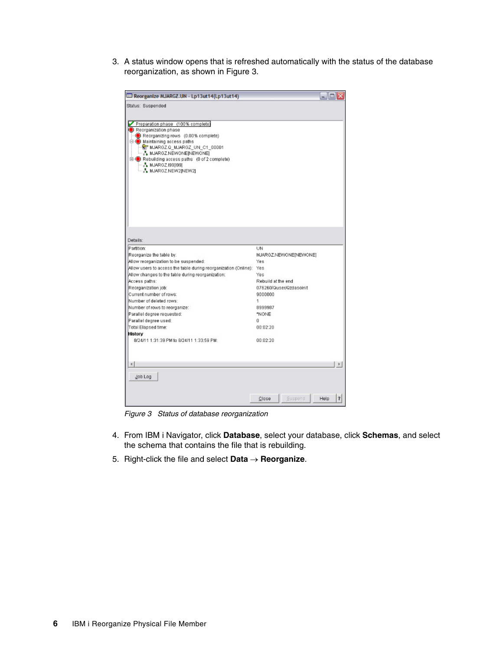3. A status window opens that is refreshed automatically with the status of the database reorganization, as shown in [Figure 3](#page-5-0).

| ED Reorganize MJARGZ.UN - Lp13ut14(Lp13ut14)                              |                         |                      |
|---------------------------------------------------------------------------|-------------------------|----------------------|
| Status: Suspended                                                         |                         |                      |
|                                                                           |                         |                      |
| Preparation phase (100% complete)                                         |                         |                      |
| Reorganization phase                                                      |                         |                      |
| Reorganizing rows (0.00% complete)<br><b>□ ● Maintaining access paths</b> |                         |                      |
| <b>RT MJARGZ.Q MJARGZ UN C1 00001</b>                                     |                         |                      |
| · ∴ MJARGZ.NEWONE[NEWONE]                                                 |                         |                      |
| <b>E</b> -© Rebuilding access paths (0 of 2 complete)                     |                         |                      |
| $-3.$ MJARGZ.19911991                                                     |                         |                      |
| - A MJARGZ.NEW2[NEW2]                                                     |                         |                      |
|                                                                           |                         |                      |
|                                                                           |                         |                      |
|                                                                           |                         |                      |
|                                                                           |                         |                      |
|                                                                           |                         |                      |
|                                                                           |                         |                      |
|                                                                           |                         |                      |
|                                                                           |                         |                      |
|                                                                           |                         |                      |
| Details:                                                                  |                         |                      |
| Partition:                                                                | UN                      |                      |
| Reorganize the table by:                                                  | MJARGZ.NEWONE[NEWONE]   |                      |
| Allow reorganization to be suspended:                                     | Yes                     |                      |
| Allow users to access the table during reorganization (Online): Yes       |                         |                      |
| Allow changes to the table during reorganization:                         | Yes                     |                      |
| Access paths:                                                             | Rebuild at the end      |                      |
| Reorganization job:                                                       | 076260/Quser/Qzdasoinit |                      |
| Current number of rows:                                                   | 9000000                 |                      |
| Number of deleted rows:                                                   | 1                       |                      |
| Number of rows to reorganize:                                             | 8999987                 |                      |
| Parallel degree requested:                                                | *NONE                   |                      |
| Parallel degree used:                                                     | 0.                      |                      |
| Total Elapsed time:                                                       | 00:02:20                |                      |
| <b>History</b>                                                            |                         |                      |
| 8/24/11 1:31:39 PM to 8/24/11 1:33:59 PM:                                 | 00:02:20                |                      |
|                                                                           |                         |                      |
|                                                                           |                         |                      |
|                                                                           |                         |                      |
| $\left  \cdot \right $                                                    |                         |                      |
|                                                                           |                         |                      |
| Job Log                                                                   |                         |                      |
|                                                                           |                         |                      |
|                                                                           |                         |                      |
|                                                                           | <b>Buspend</b><br>Close | $\mathbf{r}$<br>Help |

<span id="page-5-0"></span>*Figure 3 Status of database reorganization*

- 4. From IBM i Navigator, click **Database**, select your database, click **Schemas**, and select the schema that contains the file that is rebuilding.
- 5. Right-click the file and select **Data Reorganize**.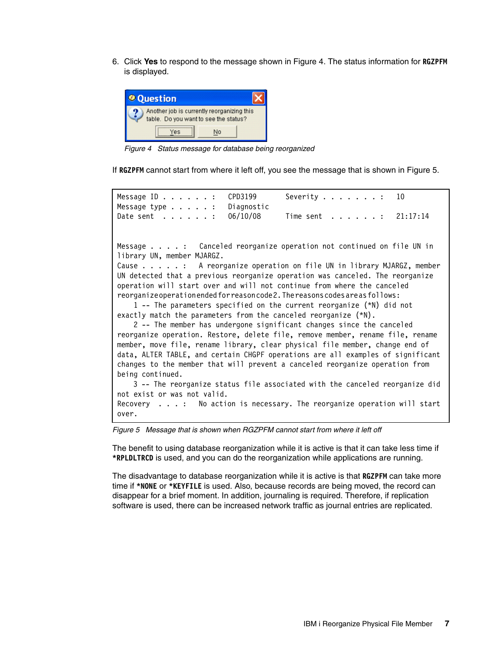6. Click **Yes** to respond to the message shown in [Figure 4.](#page-6-0) The status information for **RGZPFM** is displayed.



*Figure 4 Status message for database being reorganized*

<span id="page-6-0"></span>If **RGZPFM** cannot start from where it left off, you see the message that is shown in [Figure 5](#page-6-1).

Message ID . . . . . . : CPD3199 Severity . . . . . . . : 10 Message type . . . . . : Diagnostic Date sent . . . . . . : 06/10/08 Time sent . . . . . . : 21:17:14 Message . . . . : Canceled reorganize operation not continued on file UN in library UN, member MJARGZ. Cause . . . . . : A reorganize operation on file UN in library MJARGZ, member UN detected that a previous reorganize operation was canceled. The reorganize operation will start over and will not continue from where the canceled reorganize operation ended for reason code 2. The reasons codes are as follows: 1 -- The parameters specified on the current reorganize (\*N) did not exactly match the parameters from the canceled reorganize (\*N). 2 -- The member has undergone significant changes since the canceled reorganize operation. Restore, delete file, remove member, rename file, rename member, move file, rename library, clear physical file member, change end of data, ALTER TABLE, and certain CHGPF operations are all examples of significant changes to the member that will prevent a canceled reorganize operation from being continued. 3 -- The reorganize status file associated with the canceled reorganize did not exist or was not valid. Recovery . . . : No action is necessary. The reorganize operation will start over.

<span id="page-6-1"></span>*Figure 5 Message that is shown when RGZPFM cannot start from where it left off*

The benefit to using database reorganization while it is active is that it can take less time if **\*RPLDLTRCD** is used, and you can do the reorganization while applications are running.

The disadvantage to database reorganization while it is active is that **RGZPFM** can take more time if **\*NONE** or **\*KEYFILE** is used. Also, because records are being moved, the record can disappear for a brief moment. In addition, journaling is required. Therefore, if replication software is used, there can be increased network traffic as journal entries are replicated.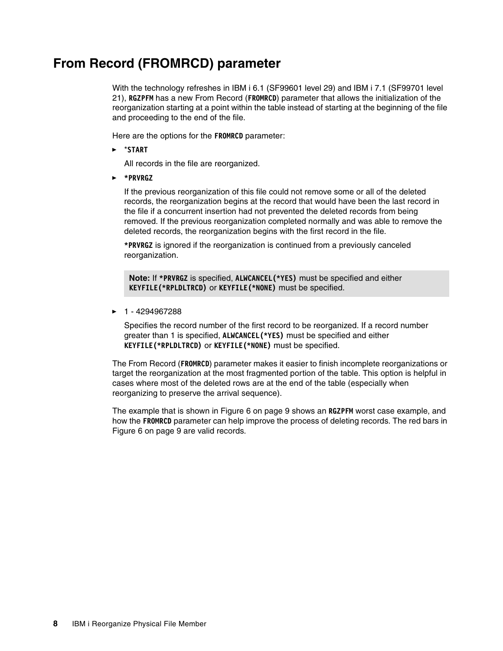# **From Record (FROMRCD) parameter**

With the technology refreshes in IBM i 6.1 (SF99601 level 29) and IBM i 7.1 (SF99701 level 21), **RGZPFM** has a new From Record (**FROMRCD**) parameter that allows the initialization of the reorganization starting at a point within the table instead of starting at the beginning of the file and proceeding to the end of the file.

Here are the options for the **FROMRCD** parameter:

-\***START** 

All records in the file are reorganized.

- **\*PRVRGZ**

If the previous reorganization of this file could not remove some or all of the deleted records, the reorganization begins at the record that would have been the last record in the file if a concurrent insertion had not prevented the deleted records from being removed. If the previous reorganization completed normally and was able to remove the deleted records, the reorganization begins with the first record in the file.

**\*PRVRGZ** is ignored if the reorganization is continued from a previously canceled reorganization.

**Note:** If **\*PRVRGZ** is specified, **ALWCANCEL(\*YES)** must be specified and either **KEYFILE(\*RPLDLTRCD)** or **KEYFILE(\*NONE)** must be specified.

-1 - 4294967288

> Specifies the record number of the first record to be reorganized. If a record number greater than 1 is specified, **ALWCANCEL(\*YES)** must be specified and either **KEYFILE(\*RPLDLTRCD)** or **KEYFILE(\*NONE)** must be specified.

The From Record (**FROMRCD**) parameter makes it easier to finish incomplete reorganizations or target the reorganization at the most fragmented portion of the table. This option is helpful in cases where most of the deleted rows are at the end of the table (especially when reorganizing to preserve the arrival sequence).

The example that is shown in [Figure 6 on page 9](#page-8-0) shows an **RGZPFM** worst case example, and how the **FROMRCD** parameter can help improve the process of deleting records. The red bars in [Figure 6 on page 9](#page-8-0) are valid records.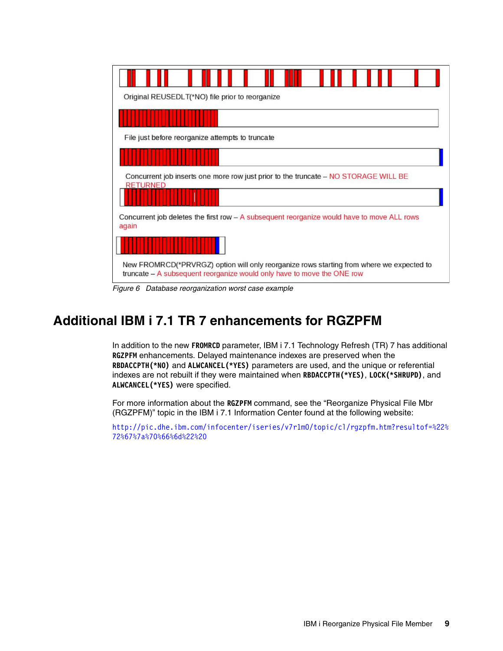| Original REUSEDLT(*NO) file prior to reorganize                                                                                                                    |
|--------------------------------------------------------------------------------------------------------------------------------------------------------------------|
|                                                                                                                                                                    |
| File just before reorganize attempts to truncate                                                                                                                   |
| Concurrent job inserts one more row just prior to the truncate – NO STORAGE WILL BE<br><b>RETURNED</b>                                                             |
| Concurrent job deletes the first row – A subsequent reorganize would have to move ALL rows<br>again                                                                |
|                                                                                                                                                                    |
| New FROMRCD(*PRVRGZ) option will only reorganize rows starting from where we expected to<br>truncate – A subsequent reorganize would only have to move the ONE row |

<span id="page-8-0"></span>*Figure 6 Database reorganization worst case example*

# **Additional IBM i 7.1 TR 7 enhancements for RGZPFM**

In addition to the new **FROMRCD** parameter, IBM i 7.1 Technology Refresh (TR) 7 has additional **RGZPFM** enhancements. Delayed maintenance indexes are preserved when the **RBDACCPTH(\*NO)** and **ALWCANCEL(\*YES)** parameters are used, and the unique or referential indexes are not rebuilt if they were maintained when **RBDACCPTH(\*YES)**, **LOCK(\*SHRUPD)**, and **ALWCANCEL(\*YES)** were specified.

For more information about the **RGZPFM** command, see the "Reorganize Physical File Mbr (RGZPFM)" topic in the IBM i 7.1 Information Center found at the following website:

[http://pic.dhe.ibm.com/infocenter/iseries/v7r1m0/topic/cl/rgzpfm.htm?resultof=%22%](http://pic.dhe.ibm.com/infocenter/iseries/v7r1m0/topic/cl/rgzpfm.htm?resultof=%22%72%67%7a%70%66%6d%22%20) [72%67%7a%70%66%6d%22%20](http://pic.dhe.ibm.com/infocenter/iseries/v7r1m0/topic/cl/rgzpfm.htm?resultof=%22%72%67%7a%70%66%6d%22%20)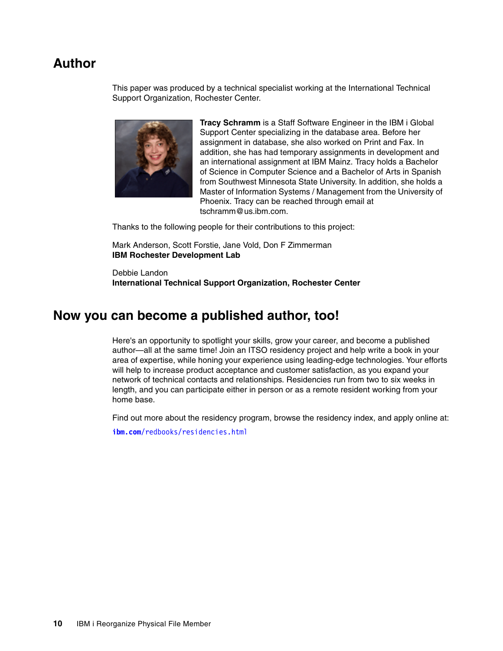## **Author**

This paper was produced by a technical specialist working at the International Technical Support Organization, Rochester Center.



**Tracy Schramm** is a Staff Software Engineer in the IBM i Global Support Center specializing in the database area. Before her assignment in database, she also worked on Print and Fax. In addition, she has had temporary assignments in development and an international assignment at IBM Mainz. Tracy holds a Bachelor of Science in Computer Science and a Bachelor of Arts in Spanish from Southwest Minnesota State University. In addition, she holds a Master of Information Systems / Management from the University of Phoenix. Tracy can be reached through email at tschramm@us.ibm.com.

Thanks to the following people for their contributions to this project:

Mark Anderson, Scott Forstie, Jane Vold, Don F Zimmerman **IBM Rochester Development Lab**

Debbie Landon **International Technical Support Organization, Rochester Center**

### **Now you can become a published author, too!**

Here's an opportunity to spotlight your skills, grow your career, and become a published author—all at the same time! Join an ITSO residency project and help write a book in your area of expertise, while honing your experience using leading-edge technologies. Your efforts will help to increase product acceptance and customer satisfaction, as you expand your network of technical contacts and relationships. Residencies run from two to six weeks in length, and you can participate either in person or as a remote resident working from your home base.

Find out more about the residency program, browse the residency index, and apply online at:

**[ibm.com](http://www.redbooks.ibm.com/residencies.html)**[/redbooks/residencies.html](http://www.redbooks.ibm.com/residencies.html)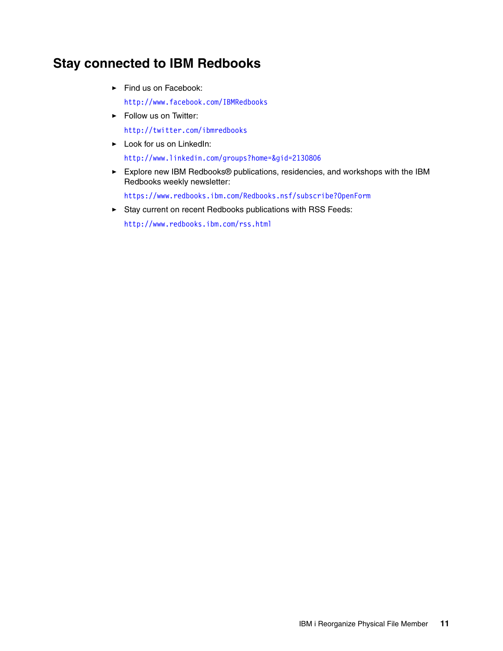# **Stay connected to IBM Redbooks**

- Find us on Facebook: <http://www.facebook.com/IBMRedbooks>
- **Follow us on Twitter:**

<http://twitter.com/ibmredbooks>

► Look for us on LinkedIn:

<http://www.linkedin.com/groups?home=&gid=2130806>

► Explore new IBM Redbooks® publications, residencies, and workshops with the IBM Redbooks weekly newsletter:

<https://www.redbooks.ibm.com/Redbooks.nsf/subscribe?OpenForm>

► Stay current on recent Redbooks publications with RSS Feeds:

<http://www.redbooks.ibm.com/rss.html>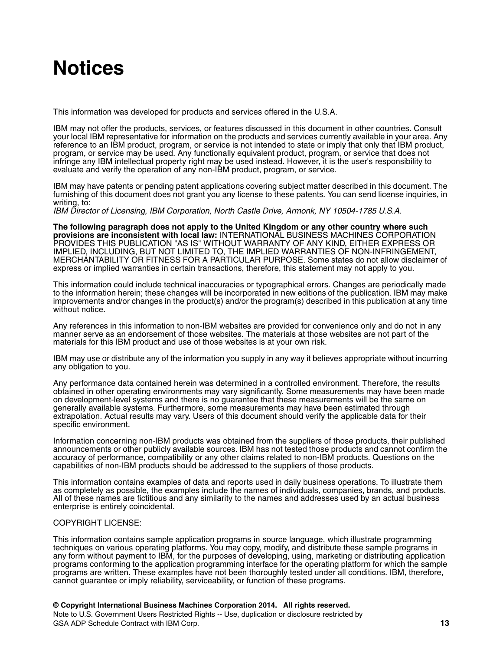# **Notices**

This information was developed for products and services offered in the U.S.A.

IBM may not offer the products, services, or features discussed in this document in other countries. Consult your local IBM representative for information on the products and services currently available in your area. Any reference to an IBM product, program, or service is not intended to state or imply that only that IBM product, program, or service may be used. Any functionally equivalent product, program, or service that does not infringe any IBM intellectual property right may be used instead. However, it is the user's responsibility to evaluate and verify the operation of any non-IBM product, program, or service.

IBM may have patents or pending patent applications covering subject matter described in this document. The furnishing of this document does not grant you any license to these patents. You can send license inquiries, in writing, to:

*IBM Director of Licensing, IBM Corporation, North Castle Drive, Armonk, NY 10504-1785 U.S.A.*

**The following paragraph does not apply to the United Kingdom or any other country where such provisions are inconsistent with local law:** INTERNATIONAL BUSINESS MACHINES CORPORATION PROVIDES THIS PUBLICATION "AS IS" WITHOUT WARRANTY OF ANY KIND, EITHER EXPRESS OR IMPLIED, INCLUDING, BUT NOT LIMITED TO, THE IMPLIED WARRANTIES OF NON-INFRINGEMENT, MERCHANTABILITY OR FITNESS FOR A PARTICULAR PURPOSE. Some states do not allow disclaimer of express or implied warranties in certain transactions, therefore, this statement may not apply to you.

This information could include technical inaccuracies or typographical errors. Changes are periodically made to the information herein; these changes will be incorporated in new editions of the publication. IBM may make improvements and/or changes in the product(s) and/or the program(s) described in this publication at any time without notice.

Any references in this information to non-IBM websites are provided for convenience only and do not in any manner serve as an endorsement of those websites. The materials at those websites are not part of the materials for this IBM product and use of those websites is at your own risk.

IBM may use or distribute any of the information you supply in any way it believes appropriate without incurring any obligation to you.

Any performance data contained herein was determined in a controlled environment. Therefore, the results obtained in other operating environments may vary significantly. Some measurements may have been made on development-level systems and there is no guarantee that these measurements will be the same on generally available systems. Furthermore, some measurements may have been estimated through extrapolation. Actual results may vary. Users of this document should verify the applicable data for their specific environment.

Information concerning non-IBM products was obtained from the suppliers of those products, their published announcements or other publicly available sources. IBM has not tested those products and cannot confirm the accuracy of performance, compatibility or any other claims related to non-IBM products. Questions on the capabilities of non-IBM products should be addressed to the suppliers of those products.

This information contains examples of data and reports used in daily business operations. To illustrate them as completely as possible, the examples include the names of individuals, companies, brands, and products. All of these names are fictitious and any similarity to the names and addresses used by an actual business enterprise is entirely coincidental.

### COPYRIGHT LICENSE:

This information contains sample application programs in source language, which illustrate programming techniques on various operating platforms. You may copy, modify, and distribute these sample programs in any form without payment to IBM, for the purposes of developing, using, marketing or distributing application programs conforming to the application programming interface for the operating platform for which the sample programs are written. These examples have not been thoroughly tested under all conditions. IBM, therefore, cannot guarantee or imply reliability, serviceability, or function of these programs.

### **© Copyright International Business Machines Corporation 2014. All rights reserved.**

Note to U.S. Government Users Restricted Rights -- Use, duplication or disclosure restricted by GSA ADP Schedule Contract with IBM Corp. **13**